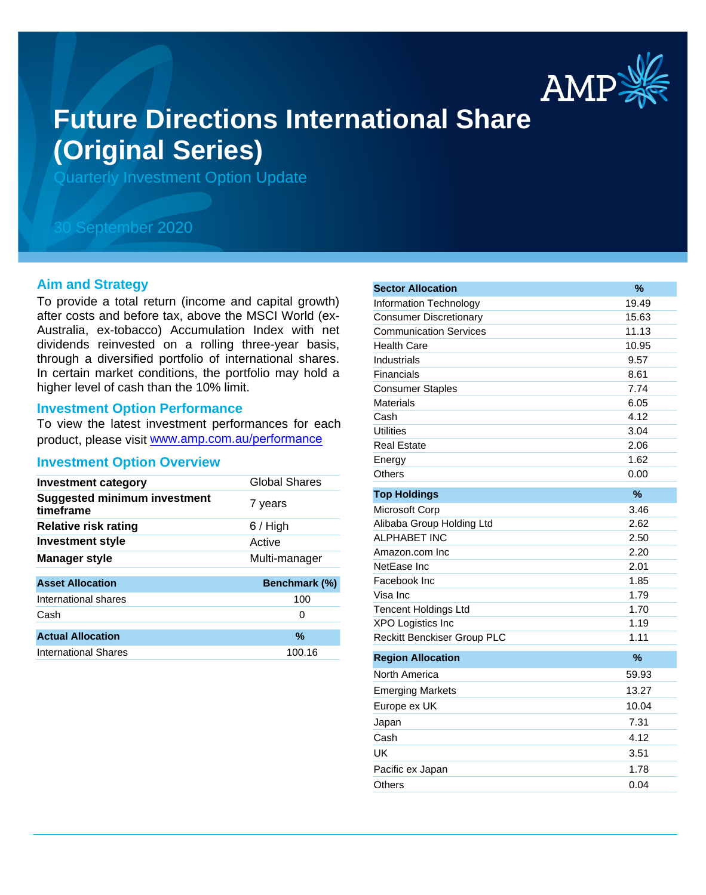

# **Future Directions International Share (Original Series)**

Quarterly Investment Option Update

## 30 September 2020

#### **Aim and Strategy**

To provide a total return (income and capital growth) after costs and before tax, above the MSCI World (ex-Australia, ex-tobacco) Accumulation Index with net dividends reinvested on a rolling three-year basis, through a diversified portfolio of international shares. In certain market conditions, the portfolio may hold a higher level of cash than the 10% limit.

#### **Investment Option Performance**

To view the latest investment performances for each product, please visit www.amp.com.au/performance

#### **Investment Option Overview**

| Global Shares |
|---------------|
| 7 years       |
| $6/$ High     |
| Active        |
| Multi-manager |
|               |
| Benchmark (%) |
| 100           |
| 0             |
|               |
| $\%$          |
| 100.16        |
|               |

| <b>Sector Allocation</b>           | %     |
|------------------------------------|-------|
| Information Technology             | 19.49 |
| <b>Consumer Discretionary</b>      | 15.63 |
| <b>Communication Services</b>      | 11.13 |
| <b>Health Care</b>                 | 10.95 |
| Industrials                        | 9.57  |
| Financials                         | 8.61  |
| <b>Consumer Staples</b>            | 7.74  |
| Materials                          | 6.05  |
| Cash                               | 4.12  |
| <b>Utilities</b>                   | 3.04  |
| <b>Real Estate</b>                 | 2.06  |
| Energy                             | 1.62  |
| Others                             | 0.00  |
| <b>Top Holdings</b>                | $\%$  |
| Microsoft Corp                     | 3.46  |
| Alibaba Group Holding Ltd          | 2.62  |
| <b>ALPHABET INC</b>                | 2.50  |
| Amazon.com Inc                     | 2.20  |
| NetEase Inc                        | 2.01  |
| Facebook Inc                       | 1.85  |
| Visa Inc                           | 1.79  |
| <b>Tencent Holdings Ltd</b>        | 1.70  |
| <b>XPO Logistics Inc</b>           | 1.19  |
| <b>Reckitt Benckiser Group PLC</b> | 1.11  |
| <b>Region Allocation</b>           | %     |
| North America                      | 59.93 |
| <b>Emerging Markets</b>            | 13.27 |
| Europe ex UK                       | 10.04 |
| Japan                              | 7.31  |
| Cash                               | 4.12  |
| UK                                 | 3.51  |
| Pacific ex Japan                   | 1.78  |
| Others                             | 0.04  |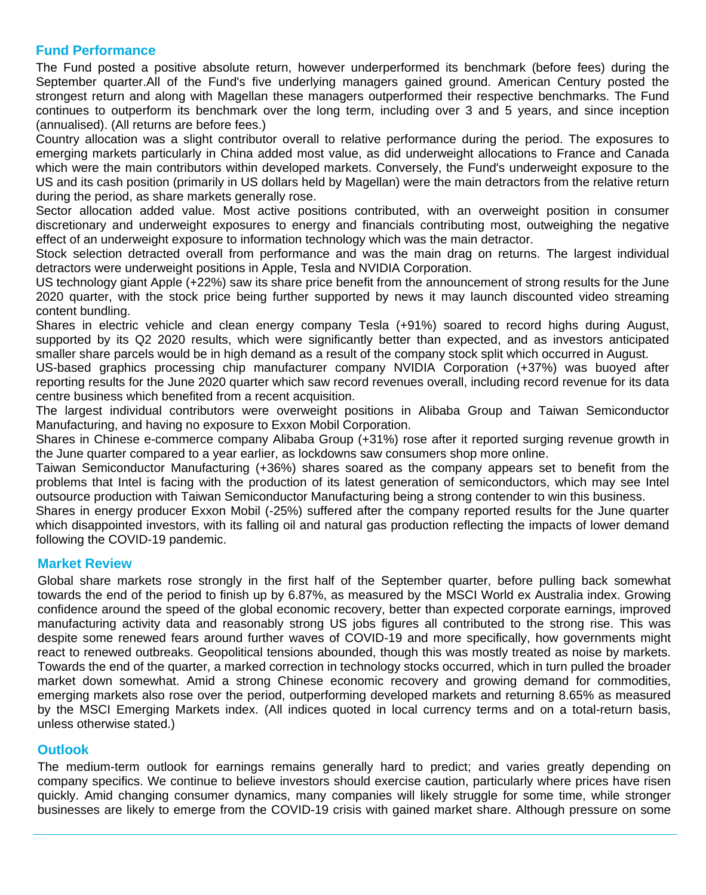### **Fund Performance**

The Fund posted a positive absolute return, however underperformed its benchmark (before fees) during the September quarter.All of the Fund's five underlying managers gained ground. American Century posted the strongest return and along with Magellan these managers outperformed their respective benchmarks. The Fund continues to outperform its benchmark over the long term, including over 3 and 5 years, and since inception (annualised). (All returns are before fees.)

Country allocation was a slight contributor overall to relative performance during the period. The exposures to emerging markets particularly in China added most value, as did underweight allocations to France and Canada which were the main contributors within developed markets. Conversely, the Fund's underweight exposure to the US and its cash position (primarily in US dollars held by Magellan) were the main detractors from the relative return during the period, as share markets generally rose.

Sector allocation added value. Most active positions contributed, with an overweight position in consumer discretionary and underweight exposures to energy and financials contributing most, outweighing the negative effect of an underweight exposure to information technology which was the main detractor.

Stock selection detracted overall from performance and was the main drag on returns. The largest individual detractors were underweight positions in Apple, Tesla and NVIDIA Corporation.

US technology giant Apple (+22%) saw its share price benefit from the announcement of strong results for the June 2020 quarter, with the stock price being further supported by news it may launch discounted video streaming content bundling.

Shares in electric vehicle and clean energy company Tesla (+91%) soared to record highs during August, supported by its Q2 2020 results, which were significantly better than expected, and as investors anticipated smaller share parcels would be in high demand as a result of the company stock split which occurred in August.

US-based graphics processing chip manufacturer company NVIDIA Corporation (+37%) was buoyed after reporting results for the June 2020 quarter which saw record revenues overall, including record revenue for its data centre business which benefited from a recent acquisition.

The largest individual contributors were overweight positions in Alibaba Group and Taiwan Semiconductor Manufacturing, and having no exposure to Exxon Mobil Corporation.

Shares in Chinese e-commerce company Alibaba Group (+31%) rose after it reported surging revenue growth in the June quarter compared to a year earlier, as lockdowns saw consumers shop more online.

Taiwan Semiconductor Manufacturing (+36%) shares soared as the company appears set to benefit from the problems that Intel is facing with the production of its latest generation of semiconductors, which may see Intel outsource production with Taiwan Semiconductor Manufacturing being a strong contender to win this business.

Shares in energy producer Exxon Mobil (-25%) suffered after the company reported results for the June quarter which disappointed investors, with its falling oil and natural gas production reflecting the impacts of lower demand following the COVID-19 pandemic.

#### **Market Review**

Global share markets rose strongly in the first half of the September quarter, before pulling back somewhat towards the end of the period to finish up by 6.87%, as measured by the MSCI World ex Australia index. Growing confidence around the speed of the global economic recovery, better than expected corporate earnings, improved manufacturing activity data and reasonably strong US jobs figures all contributed to the strong rise. This was despite some renewed fears around further waves of COVID-19 and more specifically, how governments might react to renewed outbreaks. Geopolitical tensions abounded, though this was mostly treated as noise by markets. Towards the end of the quarter, a marked correction in technology stocks occurred, which in turn pulled the broader market down somewhat. Amid a strong Chinese economic recovery and growing demand for commodities, emerging markets also rose over the period, outperforming developed markets and returning 8.65% as measured by the MSCI Emerging Markets index. (All indices quoted in local currency terms and on a total-return basis, unless otherwise stated.)

#### **Outlook**

The medium-term outlook for earnings remains generally hard to predict; and varies greatly depending on company specifics. We continue to believe investors should exercise caution, particularly where prices have risen quickly. Amid changing consumer dynamics, many companies will likely struggle for some time, while stronger businesses are likely to emerge from the COVID-19 crisis with gained market share. Although pressure on some